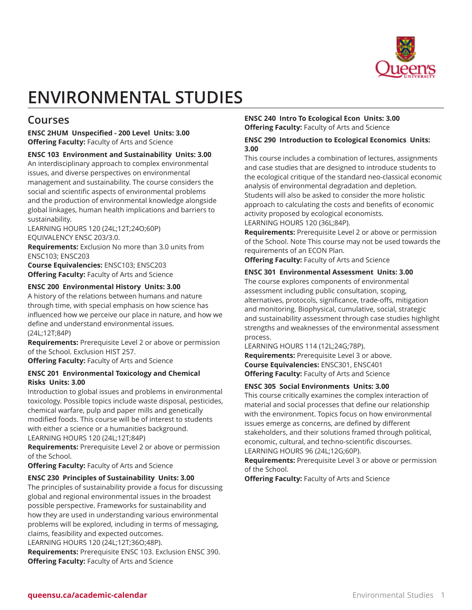

# **ENVIRONMENTAL STUDIES**

# **Courses**

**ENSC 2HUM Unspecified - 200 Level Units: 3.00 Offering Faculty:** Faculty of Arts and Science

**ENSC 103 Environment and Sustainability Units: 3.00**

An interdisciplinary approach to complex environmental issues, and diverse perspectives on environmental management and sustainability. The course considers the social and scientific aspects of environmental problems and the production of environmental knowledge alongside global linkages, human health implications and barriers to sustainability.

LEARNING HOURS 120 (24L;12T;24O;60P) EQUIVALENCY ENSC 203/3.0.

**Requirements:** Exclusion No more than 3.0 units from ENSC103; ENSC203

**Course Equivalencies:** ENSC103; ENSC203 **Offering Faculty:** Faculty of Arts and Science

## **ENSC 200 Environmental History Units: 3.00**

A history of the relations between humans and nature through time, with special emphasis on how science has influenced how we perceive our place in nature, and how we define and understand environmental issues. (24L;12T;84P)

**Requirements:** Prerequisite Level 2 or above or permission of the School. Exclusion HIST 257.

**Offering Faculty:** Faculty of Arts and Science

## **ENSC 201 Environmental Toxicology and Chemical Risks Units: 3.00**

Introduction to global issues and problems in environmental toxicology. Possible topics include waste disposal, pesticides, chemical warfare, pulp and paper mills and genetically modified foods. This course will be of interest to students with either a science or a humanities background. LEARNING HOURS 120 (24L;12T;84P)

**Requirements:** Prerequisite Level 2 or above or permission of the School.

**Offering Faculty:** Faculty of Arts and Science

## **ENSC 230 Principles of Sustainability Units: 3.00**

The principles of sustainability provide a focus for discussing global and regional environmental issues in the broadest possible perspective. Frameworks for sustainability and how they are used in understanding various environmental problems will be explored, including in terms of messaging, claims, feasibility and expected outcomes.

LEARNING HOURS 120 (24L;12T;36O;48P).

**Requirements:** Prerequisite ENSC 103. Exclusion ENSC 390. **Offering Faculty:** Faculty of Arts and Science

## **ENSC 240 Intro To Ecological Econ Units: 3.00 Offering Faculty:** Faculty of Arts and Science

## **ENSC 290 Introduction to Ecological Economics Units: 3.00**

This course includes a combination of lectures, assignments and case studies that are designed to introduce students to the ecological critique of the standard neo-classical economic analysis of environmental degradation and depletion. Students will also be asked to consider the more holistic approach to calculating the costs and benefits of economic activity proposed by ecological economists. LEARNING HOURS 120 (36L;84P).

**Requirements:** Prerequisite Level 2 or above or permission of the School. Note This course may not be used towards the requirements of an ECON Plan.

**Offering Faculty:** Faculty of Arts and Science

## **ENSC 301 Environmental Assessment Units: 3.00**

The course explores components of environmental assessment including public consultation, scoping, alternatives, protocols, significance, trade-offs, mitigation and monitoring. Biophysical, cumulative, social, strategic and sustainability assessment through case studies highlight strengths and weaknesses of the environmental assessment process.

LEARNING HOURS 114 (12L;24G;78P).

**Requirements:** Prerequisite Level 3 or above. **Course Equivalencies:** ENSC301, ENSC401 **Offering Faculty:** Faculty of Arts and Science

## **ENSC 305 Social Environments Units: 3.00**

This course critically examines the complex interaction of material and social processes that define our relationship with the environment. Topics focus on how environmental issues emerge as concerns, are defined by different stakeholders, and their solutions framed through political, economic, cultural, and techno-scientific discourses. LEARNING HOURS 96 (24L;12G;60P).

**Requirements:** Prerequisite Level 3 or above or permission of the School.

**Offering Faculty:** Faculty of Arts and Science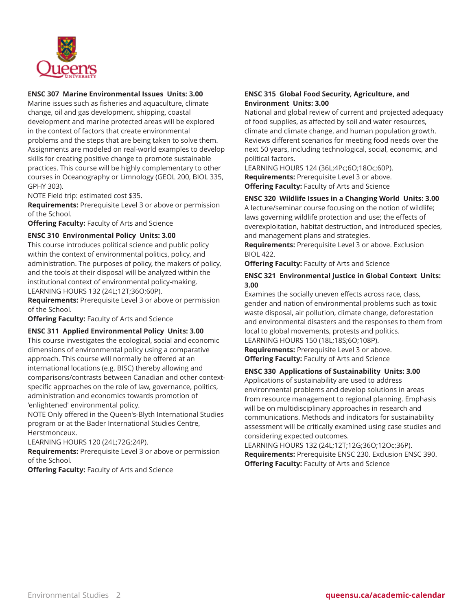

## **ENSC 307 Marine Environmental Issues Units: 3.00**

Marine issues such as fisheries and aquaculture, climate change, oil and gas development, shipping, coastal development and marine protected areas will be explored in the context of factors that create environmental problems and the steps that are being taken to solve them. Assignments are modeled on real-world examples to develop skills for creating positive change to promote sustainable practices. This course will be highly complementary to other courses in Oceanography or Limnology (GEOL 200, BIOL 335, GPHY 303).

NOTE Field trip: estimated cost \$35.

**Requirements:** Prerequisite Level 3 or above or permission of the School.

**Offering Faculty:** Faculty of Arts and Science

#### **ENSC 310 Environmental Policy Units: 3.00**

This course introduces political science and public policy within the context of environmental politics, policy, and administration. The purposes of policy, the makers of policy, and the tools at their disposal will be analyzed within the institutional context of environmental policy-making. LEARNING HOURS 132 (24L;12T;36O;60P).

**Requirements:** Prerequisite Level 3 or above or permission of the School.

**Offering Faculty:** Faculty of Arts and Science

#### **ENSC 311 Applied Environmental Policy Units: 3.00**

This course investigates the ecological, social and economic dimensions of environmental policy using a comparative approach. This course will normally be offered at an international locations (e.g. BISC) thereby allowing and comparisons/contrasts between Canadian and other contextspecific approaches on the role of law, governance, politics, administration and economics towards promotion of 'enlightened' environmental policy.

NOTE Only offered in the Queen's-Blyth International Studies program or at the Bader International Studies Centre, Herstmonceux.

LEARNING HOURS 120 (24L;72G;24P).

**Requirements:** Prerequisite Level 3 or above or permission of the School.

**Offering Faculty:** Faculty of Arts and Science

## **ENSC 315 Global Food Security, Agriculture, and Environment Units: 3.00**

National and global review of current and projected adequacy of food supplies, as affected by soil and water resources, climate and climate change, and human population growth. Reviews different scenarios for meeting food needs over the next 50 years, including technological, social, economic, and political factors.

LEARNING HOURS 124 (36L;4Pc;6O;18Oc;60P). **Requirements:** Prerequisite Level 3 or above. **Offering Faculty:** Faculty of Arts and Science

## **ENSC 320 Wildlife Issues in a Changing World Units: 3.00**

A lecture/seminar course focusing on the notion of wildlife; laws governing wildlife protection and use; the effects of overexploitation, habitat destruction, and introduced species, and management plans and strategies.

**Requirements:** Prerequisite Level 3 or above. Exclusion BIOL 422.

**Offering Faculty:** Faculty of Arts and Science

#### **ENSC 321 Environmental Justice in Global Context Units: 3.00**

Examines the socially uneven effects across race, class, gender and nation of environmental problems such as toxic waste disposal, air pollution, climate change, deforestation and environmental disasters and the responses to them from local to global movements, protests and politics. LEARNING HOURS 150 (18L;18S;6O;108P).

**Requirements:** Prerequisite Level 3 or above. **Offering Faculty:** Faculty of Arts and Science

#### **ENSC 330 Applications of Sustainability Units: 3.00**

Applications of sustainability are used to address environmental problems and develop solutions in areas from resource management to regional planning. Emphasis will be on multidisciplinary approaches in research and communications. Methods and indicators for sustainability assessment will be critically examined using case studies and considering expected outcomes.

LEARNING HOURS 132 (24L;12T;12G;36O;12Oc;36P). **Requirements:** Prerequisite ENSC 230. Exclusion ENSC 390. **Offering Faculty:** Faculty of Arts and Science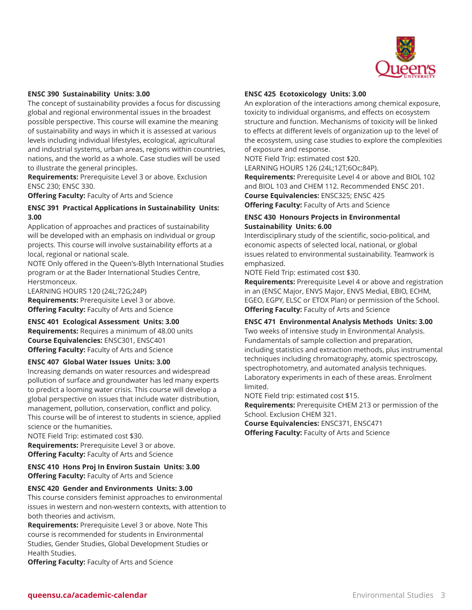

#### **ENSC 390 Sustainability Units: 3.00**

The concept of sustainability provides a focus for discussing global and regional environmental issues in the broadest possible perspective. This course will examine the meaning of sustainability and ways in which it is assessed at various levels including individual lifestyles, ecological, agricultural and industrial systems, urban areas, regions within countries, nations, and the world as a whole. Case studies will be used to illustrate the general principles.

**Requirements:** Prerequisite Level 3 or above. Exclusion ENSC 230; ENSC 330.

**Offering Faculty:** Faculty of Arts and Science

#### **ENSC 391 Practical Applications in Sustainability Units: 3.00**

Application of approaches and practices of sustainability will be developed with an emphasis on individual or group projects. This course will involve sustainability efforts at a local, regional or national scale.

NOTE Only offered in the Queen's-Blyth International Studies program or at the Bader International Studies Centre, Herstmonceux.

LEARNING HOURS 120 (24L;72G;24P) **Requirements:** Prerequisite Level 3 or above. **Offering Faculty:** Faculty of Arts and Science

#### **ENSC 401 Ecological Assessment Units: 3.00**

**Requirements:** Requires a minimum of 48.00 units **Course Equivalencies:** ENSC301, ENSC401 **Offering Faculty:** Faculty of Arts and Science

#### **ENSC 407 Global Water Issues Units: 3.00**

Increasing demands on water resources and widespread pollution of surface and groundwater has led many experts to predict a looming water crisis. This course will develop a global perspective on issues that include water distribution, management, pollution, conservation, conflict and policy. This course will be of interest to students in science, applied science or the humanities.

NOTE Field Trip: estimated cost \$30. **Requirements:** Prerequisite Level 3 or above. **Offering Faculty:** Faculty of Arts and Science

**ENSC 410 Hons Proj In Environ Sustain Units: 3.00 Offering Faculty:** Faculty of Arts and Science

#### **ENSC 420 Gender and Environments Units: 3.00**

This course considers feminist approaches to environmental issues in western and non-western contexts, with attention to both theories and activism.

**Requirements:** Prerequisite Level 3 or above. Note This course is recommended for students in Environmental Studies, Gender Studies, Global Development Studies or Health Studies.

**Offering Faculty:** Faculty of Arts and Science

#### **ENSC 425 Ecotoxicology Units: 3.00**

An exploration of the interactions among chemical exposure, toxicity to individual organisms, and effects on ecosystem structure and function. Mechanisms of toxicity will be linked to effects at different levels of organization up to the level of the ecosystem, using case studies to explore the complexities of exposure and response.

NOTE Field Trip: estimated cost \$20.

LEARNING HOURS 126 (24L;12T;6Oc;84P).

**Requirements:** Prerequisite Level 4 or above and BIOL 102 and BIOL 103 and CHEM 112. Recommended ENSC 201. **Course Equivalencies:** ENSC325; ENSC 425 **Offering Faculty:** Faculty of Arts and Science

#### **ENSC 430 Honours Projects in Environmental Sustainability Units: 6.00**

Interdisciplinary study of the scientific, socio-political, and economic aspects of selected local, national, or global issues related to environmental sustainability. Teamwork is emphasized.

NOTE Field Trip: estimated cost \$30.

**Requirements:** Prerequisite Level 4 or above and registration in an (ENSC Major, ENVS Major, ENVS Medial, EBIO, ECHM, EGEO, EGPY, ELSC or ETOX Plan) or permission of the School. **Offering Faculty:** Faculty of Arts and Science

## **ENSC 471 Environmental Analysis Methods Units: 3.00**

Two weeks of intensive study in Environmental Analysis. Fundamentals of sample collection and preparation, including statistics and extraction methods, plus instrumental techniques including chromatography, atomic spectroscopy, spectrophotometry, and automated analysis techniques. Laboratory experiments in each of these areas. Enrolment limited.

NOTE Field trip: estimated cost \$15.

**Requirements:** Prerequisite CHEM 213 or permission of the School. Exclusion CHEM 321.

**Course Equivalencies:** ENSC371, ENSC471 **Offering Faculty:** Faculty of Arts and Science